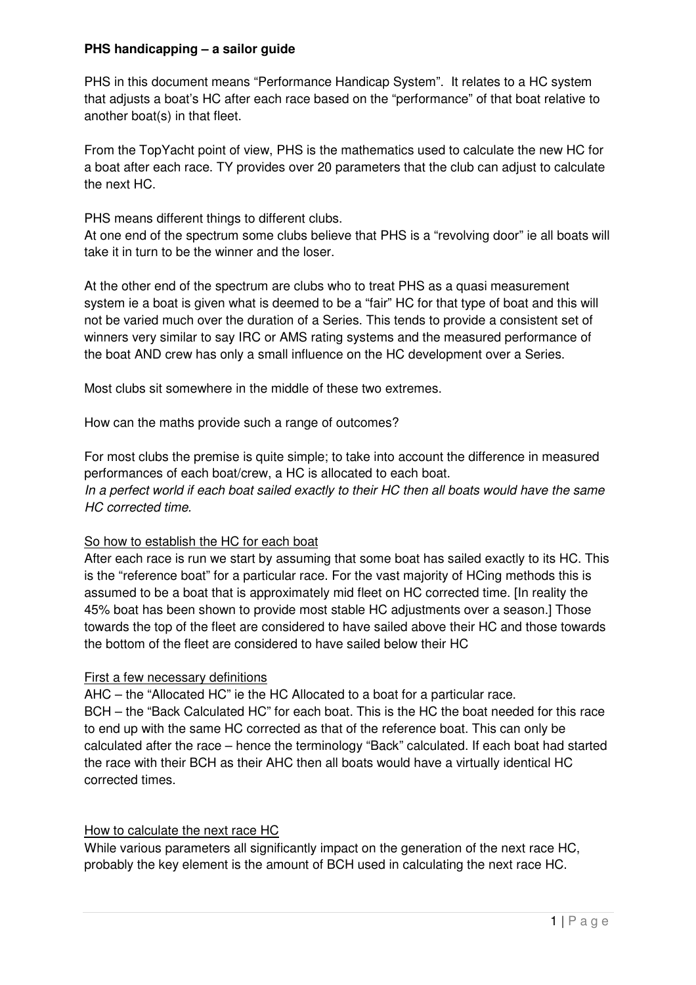### **PHS handicapping – a sailor guide**

PHS in this document means "Performance Handicap System". It relates to a HC system that adjusts a boat's HC after each race based on the "performance" of that boat relative to another boat(s) in that fleet.

From the TopYacht point of view, PHS is the mathematics used to calculate the new HC for a boat after each race. TY provides over 20 parameters that the club can adjust to calculate the next HC.

PHS means different things to different clubs.

At one end of the spectrum some clubs believe that PHS is a "revolving door" ie all boats will take it in turn to be the winner and the loser.

At the other end of the spectrum are clubs who to treat PHS as a quasi measurement system ie a boat is given what is deemed to be a "fair" HC for that type of boat and this will not be varied much over the duration of a Series. This tends to provide a consistent set of winners very similar to say IRC or AMS rating systems and the measured performance of the boat AND crew has only a small influence on the HC development over a Series.

Most clubs sit somewhere in the middle of these two extremes.

How can the maths provide such a range of outcomes?

For most clubs the premise is quite simple; to take into account the difference in measured performances of each boat/crew, a HC is allocated to each boat. In a perfect world if each boat sailed exactly to their HC then all boats would have the same HC corrected time.

#### So how to establish the HC for each boat

After each race is run we start by assuming that some boat has sailed exactly to its HC. This is the "reference boat" for a particular race. For the vast majority of HCing methods this is assumed to be a boat that is approximately mid fleet on HC corrected time. [In reality the 45% boat has been shown to provide most stable HC adjustments over a season.] Those towards the top of the fleet are considered to have sailed above their HC and those towards the bottom of the fleet are considered to have sailed below their HC

#### First a few necessary definitions

AHC – the "Allocated HC" ie the HC Allocated to a boat for a particular race. BCH – the "Back Calculated HC" for each boat. This is the HC the boat needed for this race to end up with the same HC corrected as that of the reference boat. This can only be calculated after the race – hence the terminology "Back" calculated. If each boat had started the race with their BCH as their AHC then all boats would have a virtually identical HC corrected times.

#### How to calculate the next race HC

While various parameters all significantly impact on the generation of the next race HC, probably the key element is the amount of BCH used in calculating the next race HC.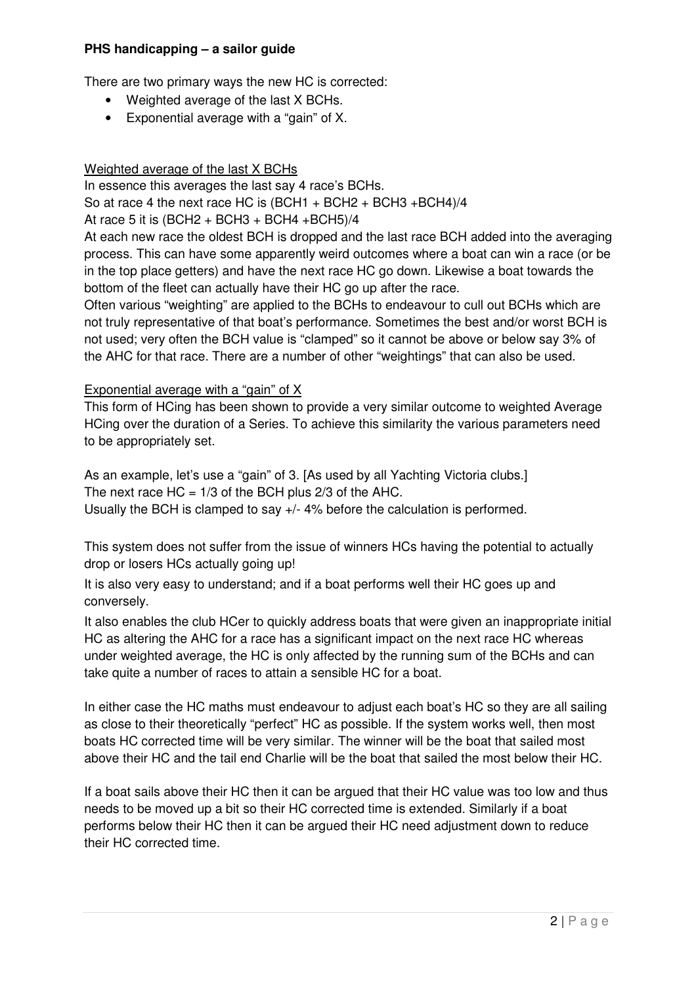## **PHS handicapping – a sailor guide**

There are two primary ways the new HC is corrected:

- Weighted average of the last X BCHs.
- Exponential average with a "gain" of X.

# Weighted average of the last X BCHs

In essence this averages the last say 4 race's BCHs. So at race 4 the next race HC is  $(BCH1 + BCH2 + BCH3 + BCH4)/4$ 

## At race 5 it is  $(BCH2 + BCH3 + BCH4 + BCH5)/4$

At each new race the oldest BCH is dropped and the last race BCH added into the averaging process. This can have some apparently weird outcomes where a boat can win a race (or be in the top place getters) and have the next race HC go down. Likewise a boat towards the bottom of the fleet can actually have their HC go up after the race.

Often various "weighting" are applied to the BCHs to endeavour to cull out BCHs which are not truly representative of that boat's performance. Sometimes the best and/or worst BCH is not used; very often the BCH value is "clamped" so it cannot be above or below say 3% of the AHC for that race. There are a number of other "weightings" that can also be used.

# Exponential average with a "gain" of X

This form of HCing has been shown to provide a very similar outcome to weighted Average HCing over the duration of a Series. To achieve this similarity the various parameters need to be appropriately set.

As an example, let's use a "gain" of 3. [As used by all Yachting Victoria clubs.] The next race  $HC = 1/3$  of the BCH plus  $2/3$  of the AHC. Usually the BCH is clamped to say +/- 4% before the calculation is performed.

This system does not suffer from the issue of winners HCs having the potential to actually drop or losers HCs actually going up!

It is also very easy to understand; and if a boat performs well their HC goes up and conversely.

It also enables the club HCer to quickly address boats that were given an inappropriate initial HC as altering the AHC for a race has a significant impact on the next race HC whereas under weighted average, the HC is only affected by the running sum of the BCHs and can take quite a number of races to attain a sensible HC for a boat.

In either case the HC maths must endeavour to adjust each boat's HC so they are all sailing as close to their theoretically "perfect" HC as possible. If the system works well, then most boats HC corrected time will be very similar. The winner will be the boat that sailed most above their HC and the tail end Charlie will be the boat that sailed the most below their HC.

If a boat sails above their HC then it can be argued that their HC value was too low and thus needs to be moved up a bit so their HC corrected time is extended. Similarly if a boat performs below their HC then it can be argued their HC need adjustment down to reduce their HC corrected time.